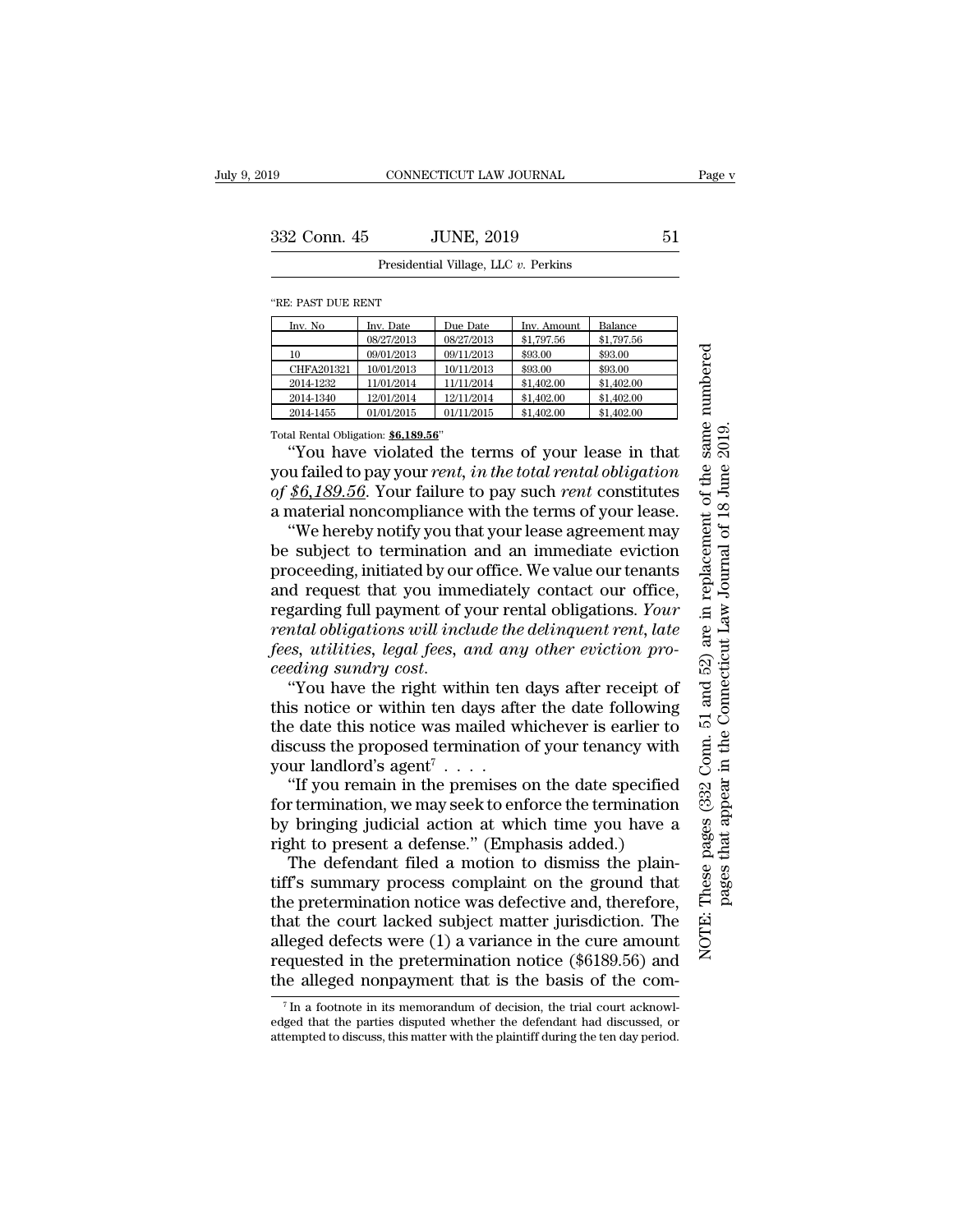## Presidential Village, LLC *v.* Perkins

''RE: PAST DUE RENT

| Inv. No    | Inv. Date  | Due Date   | Inv. Amount | Balance    |
|------------|------------|------------|-------------|------------|
|            | 08/27/2013 | 08/27/2013 | \$1,797.56  | \$1,797.56 |
| 10         | 09/01/2013 | 09/11/2013 | \$93.00     | \$93.00    |
| CHFA201321 | 10/01/2013 | 10/11/2013 | \$93.00     | \$93.00    |
| 2014-1232  | 11/01/2014 | 11/11/2014 | \$1,402.00  | \$1,402.00 |
| 2014-1340  | 12/01/2014 | 12/11/2014 | \$1,402.00  | \$1,402.00 |
| 2014-1455  | 01/01/2015 | 01/11/2015 | \$1,402.00  | \$1,402.00 |

Total Rental Obligation: **\$6,189.56**''

''You have violated the terms of your lease in that you failed to pay your *rent, in the total rental obligation of \$6,189.56*. Your failure to pay such *rent* constitutes a material noncompliance with the terms of your lease.

''We hereby notify you that your lease agreement may be subject to termination and an immediate eviction proceeding, initiated by our office. We value our tenants and request that you immediately contact our office, regarding full payment of your rental obligations. *Your rental obligations will include the delinquent rent, late fees, utilities, legal fees, and any other eviction proceeding sundry cost*.

''You have the right within ten days after receipt of this notice or within ten days after the date following the date this notice was mailed whichever is earlier to discuss the proposed termination of your tenancy with your landlord's agent<sup>7</sup> . . . .

''If you remain in the premises on the date specified for termination, we may seek to enforce the termination by bringing judicial action at which time you have a right to present a defense.'' (Emphasis added.)

The defendant filed a motion to dismiss the plaintiff's summary process complaint on the ground that the pretermination notice was defective and, therefore, that the court lacked subject matter jurisdiction. The alleged defects were (1) a variance in the cure amount requested in the pretermination notice (\$6189.56) and the alleged nonpayment that is the basis of the com-

These pages (332 Conn. 51 and 52) are in replacement of the same numbered NOTE: These pages (332 Conn. 51 and 52) are in replacement of the same numbered pages that appear in the Connecticut Law Journal of 18 June 2019. pages that appear in the Connecticut Law Journal of 18 June 2019.NOTE:

<sup>7</sup> In a footnote in its memorandum of decision, the trial court acknowledged that the parties disputed whether the defendant had discussed, or attempted to discuss, this matter with the plaintiff during the ten day period.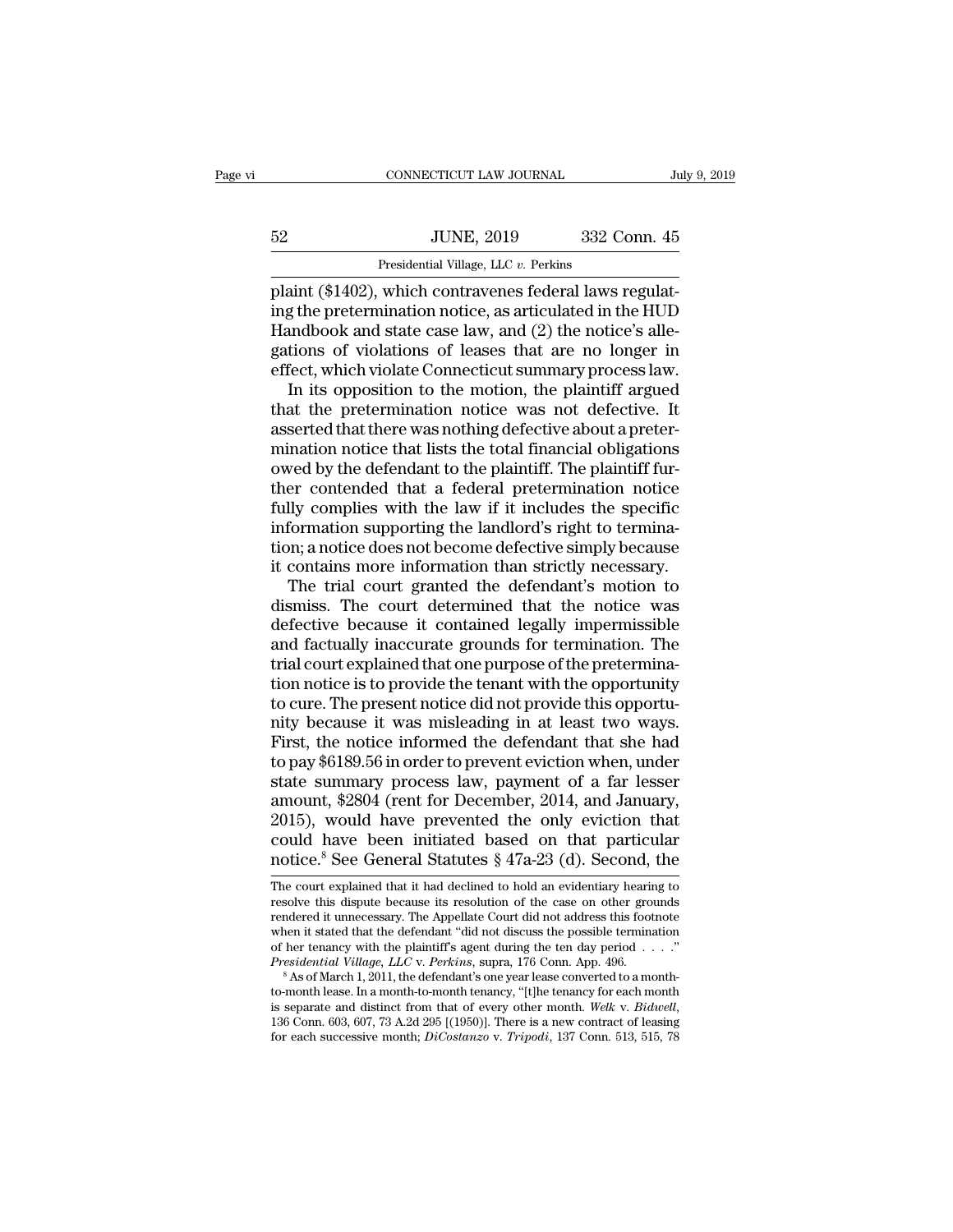| 52 | <b>JUNE, 2019</b>                    | 332 Conn. 45 |  |
|----|--------------------------------------|--------------|--|
|    | Presidential Village, LLC v. Perkins |              |  |

plaint (\$1402), which contravenes federal laws regulating the pretermination notice, as articulated in the HUD Handbook and state case law, and  $(2)$  the notice's allegations of violations of leases that are no longer in effect, which violate Connecticut summary process law.

In its opposition to the motion, the plaintiff argued that the pretermination notice was not defective. It asserted that there was nothing defective about a pretermination notice that lists the total financial obligations owed by the defendant to the plaintiff. The plaintiff further contended that a federal pretermination notice fully complies with the law if it includes the specific information supporting the landlord's right to termination; a notice does not become defective simply because it contains more information than strictly necessary.

The trial court granted the defendant's motion to dismiss. The court determined that the notice was defective because it contained legally impermissible and factually inaccurate grounds for termination. The trial court explained that one purpose of the pretermination notice is to provide the tenant with the opportunity to cure. The present notice did not provide this opportunity because it was misleading in at least two ways. First, the notice informed the defendant that she had to pay \$6189.56 in order to prevent eviction when, under state summary process law, payment of a far lesser amount, \$2804 (rent for December, 2014, and January, 2015), would have prevented the only eviction that could have been initiated based on that particular notice.8 See General Statutes § 47a-23 (d). Second, the

The court explained that it had declined to hold an evidentiary hearing to resolve this dispute because its resolution of the case on other grounds rendered it unnecessary. The Appellate Court did not address this footnote when it stated that the defendant ''did not discuss the possible termination of her tenancy with the plaintiff's agent during the ten day period . . . .'' *Presidential Village, LLC* v. *Perkins*, supra, 176 Conn. App. 496.

As of March 1, 2011, the defendant's one year lease converted to a monthto-month lease. In a month-to-month tenancy, ''[t]he tenancy for each month is separate and distinct from that of every other month. *Welk* v. *Bidwell*, 136 Conn. 603, 607, 73 A.2d 295 [(1950)]. There is a new contract of leasing for each successive month; *DiCostanzo* v. *Tripodi*, 137 Conn. 513, 515, 78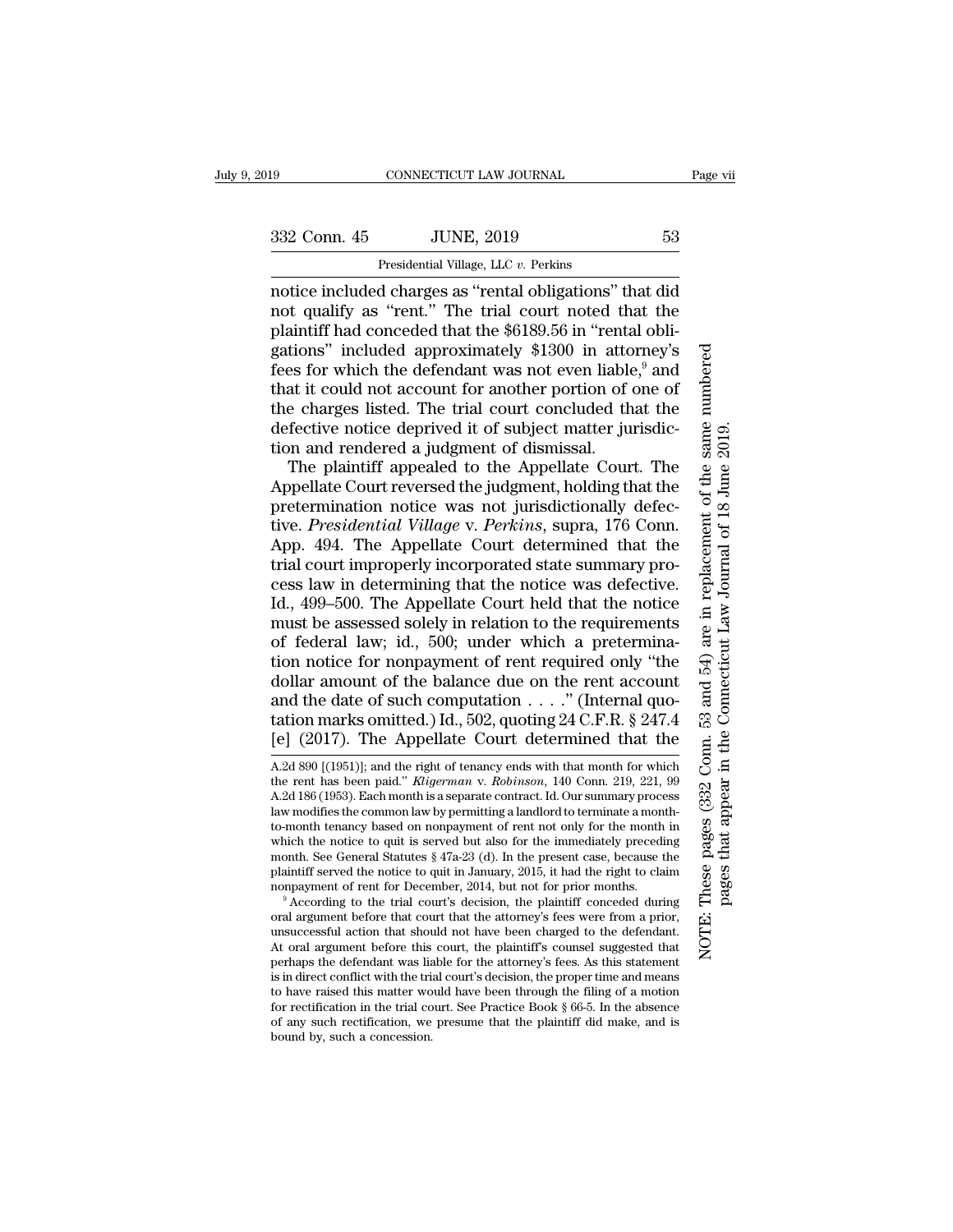## Presidential Village, LLC *v.* Perkins

notice included charges as ''rental obligations'' that did not qualify as ''rent.'' The trial court noted that the plaintiff had conceded that the \$6189.56 in ''rental obligations'' included approximately \$1300 in attorney's fees for which the defendant was not even liable, $9$  and that it could not account for another portion of one of the charges listed. The trial court concluded that the defective notice deprived it of subject matter jurisdiction and rendered a judgment of dismissal.

The plaintiff appealed to the Appellate Court. The Appellate Court reversed the judgment, holding that the pretermination notice was not jurisdictionally defective. *Presidential Village* v. *Perkins*, supra, 176 Conn. App. 494. The Appellate Court determined that the trial court improperly incorporated state summary process law in determining that the notice was defective. Id., 499–500. The Appellate Court held that the notice must be assessed solely in relation to the requirements of federal law; id., 500; under which a pretermination notice for nonpayment of rent required only ''the dollar amount of the balance due on the rent account and the date of such computation . . . .'' (Internal quotation marks omitted.) Id., 502, quoting 24 C.F.R. § 247.4 [e] (2017). The Appellate Court determined that the

A.2d 890 [(1951)]; and the right of tenancy ends with that month for which the rent has been paid.'' *Kligerman* v. *Robinson*, 140 Conn. 219, 221, 99 A.2d 186 (1953). Each month is a separate contract. Id. Our summary process law modifies the common law by permitting a landlord to terminate a monthto-month tenancy based on nonpayment of rent not only for the month in which the notice to quit is served but also for the immediately preceding month. See General Statutes § 47a-23 (d). In the present case, because the plaintiff served the notice to quit in January, 2015, it had the right to claim nonpayment of rent for December, 2014, but not for prior months.

<sup>9</sup> According to the trial court's decision, the plaintiff conceded during oral argument before that court that the attorney's fees were from a prior, unsuccessful action that should not have been charged to the defendant. At oral argument before this court, the plaintiff's counsel suggested that perhaps the defendant was liable for the attorney's fees. As this statement is in direct conflict with the trial court's decision, the proper time and means to have raised this matter would have been through the filing of a motion for rectification in the trial court. See Practice Book § 66-5. In the absence of any such rectification, we presume that the plaintiff did make, and is bound by, such a concession.

NOTE: These pages (332 Conn. 53 and 54) are in replacement of the same numbered These pages (332 Conn. 53 and 54) are in replacement of the same numbered pages that appear in the Connecticut Law Journal of 18 June 2019. pages that appear in the Connecticut Law Journal of 18 June 2019.NOTE: